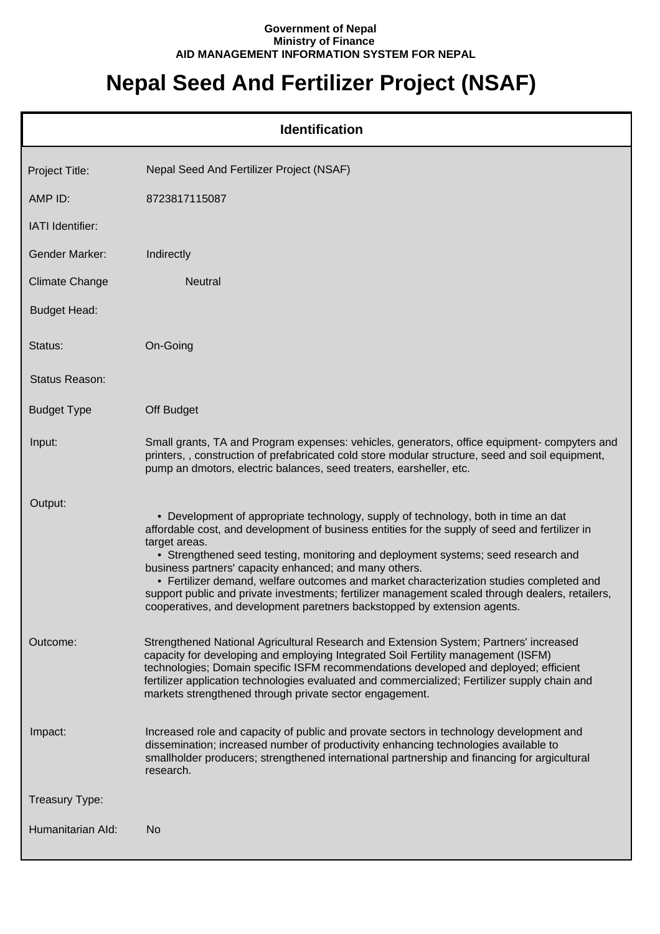## **Government of Nepal Ministry of Finance AID MANAGEMENT INFORMATION SYSTEM FOR NEPAL**

## **Nepal Seed And Fertilizer Project (NSAF)**

|                       | <b>Identification</b>                                                                                                                                                                                                                                                                                                                                                                                                                                                                                                                                                                                                           |
|-----------------------|---------------------------------------------------------------------------------------------------------------------------------------------------------------------------------------------------------------------------------------------------------------------------------------------------------------------------------------------------------------------------------------------------------------------------------------------------------------------------------------------------------------------------------------------------------------------------------------------------------------------------------|
| Project Title:        | Nepal Seed And Fertilizer Project (NSAF)                                                                                                                                                                                                                                                                                                                                                                                                                                                                                                                                                                                        |
| AMP ID:               | 8723817115087                                                                                                                                                                                                                                                                                                                                                                                                                                                                                                                                                                                                                   |
| IATI Identifier:      |                                                                                                                                                                                                                                                                                                                                                                                                                                                                                                                                                                                                                                 |
| <b>Gender Marker:</b> | Indirectly                                                                                                                                                                                                                                                                                                                                                                                                                                                                                                                                                                                                                      |
| <b>Climate Change</b> | Neutral                                                                                                                                                                                                                                                                                                                                                                                                                                                                                                                                                                                                                         |
| <b>Budget Head:</b>   |                                                                                                                                                                                                                                                                                                                                                                                                                                                                                                                                                                                                                                 |
| Status:               | On-Going                                                                                                                                                                                                                                                                                                                                                                                                                                                                                                                                                                                                                        |
| Status Reason:        |                                                                                                                                                                                                                                                                                                                                                                                                                                                                                                                                                                                                                                 |
| <b>Budget Type</b>    | Off Budget                                                                                                                                                                                                                                                                                                                                                                                                                                                                                                                                                                                                                      |
| Input:                | Small grants, TA and Program expenses: vehicles, generators, office equipment- compyters and<br>printers,, construction of prefabricated cold store modular structure, seed and soil equipment,<br>pump an dmotors, electric balances, seed treaters, earsheller, etc.                                                                                                                                                                                                                                                                                                                                                          |
| Output:               | • Development of appropriate technology, supply of technology, both in time an dat<br>affordable cost, and development of business entities for the supply of seed and fertilizer in<br>target areas.<br>• Strengthened seed testing, monitoring and deployment systems; seed research and<br>business partners' capacity enhanced; and many others.<br>• Fertilizer demand, welfare outcomes and market characterization studies completed and<br>support public and private investments; fertilizer management scaled through dealers, retailers,<br>cooperatives, and development paretners backstopped by extension agents. |
| Outcome:              | Strengthened National Agricultural Research and Extension System; Partners' increased<br>capacity for developing and employing Integrated Soil Fertility management (ISFM)<br>technologies; Domain specific ISFM recommendations developed and deployed; efficient<br>fertilizer application technologies evaluated and commercialized; Fertilizer supply chain and<br>markets strengthened through private sector engagement.                                                                                                                                                                                                  |
| Impact:               | Increased role and capacity of public and provate sectors in technology development and<br>dissemination; increased number of productivity enhancing technologies available to<br>smallholder producers; strengthened international partnership and financing for argicultural<br>research.                                                                                                                                                                                                                                                                                                                                     |
| Treasury Type:        |                                                                                                                                                                                                                                                                                                                                                                                                                                                                                                                                                                                                                                 |
| Humanitarian Ald:     | No                                                                                                                                                                                                                                                                                                                                                                                                                                                                                                                                                                                                                              |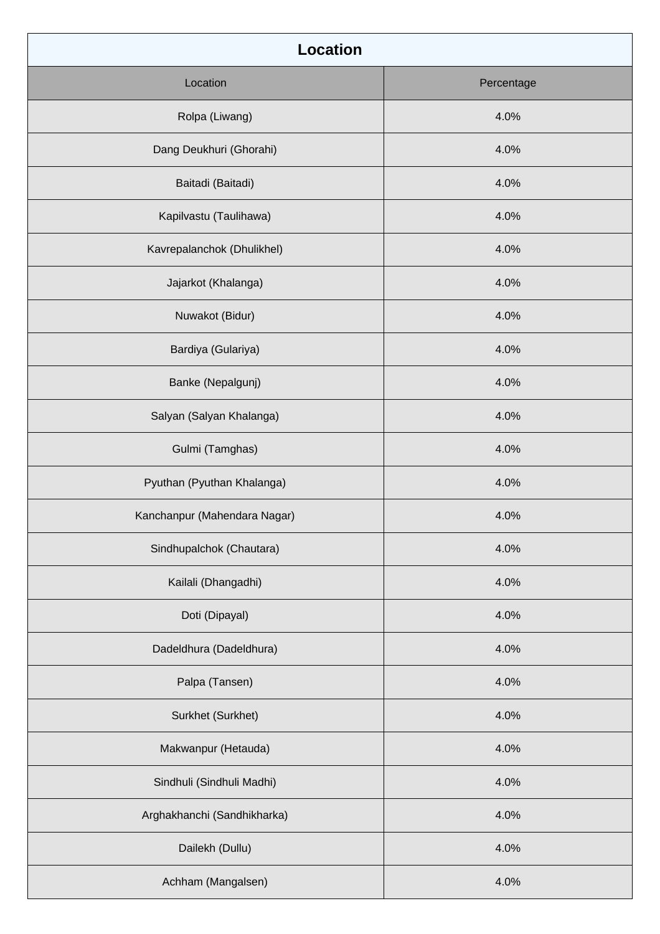| <b>Location</b>              |            |
|------------------------------|------------|
| Location                     | Percentage |
| Rolpa (Liwang)               | 4.0%       |
| Dang Deukhuri (Ghorahi)      | 4.0%       |
| Baitadi (Baitadi)            | 4.0%       |
| Kapilvastu (Taulihawa)       | 4.0%       |
| Kavrepalanchok (Dhulikhel)   | 4.0%       |
| Jajarkot (Khalanga)          | 4.0%       |
| Nuwakot (Bidur)              | 4.0%       |
| Bardiya (Gulariya)           | 4.0%       |
| Banke (Nepalgunj)            | 4.0%       |
| Salyan (Salyan Khalanga)     | 4.0%       |
| Gulmi (Tamghas)              | 4.0%       |
| Pyuthan (Pyuthan Khalanga)   | 4.0%       |
| Kanchanpur (Mahendara Nagar) | 4.0%       |
| Sindhupalchok (Chautara)     | 4.0%       |
| Kailali (Dhangadhi)          | 4.0%       |
| Doti (Dipayal)               | 4.0%       |
| Dadeldhura (Dadeldhura)      | 4.0%       |
| Palpa (Tansen)               | 4.0%       |
| Surkhet (Surkhet)            | 4.0%       |
| Makwanpur (Hetauda)          | 4.0%       |
| Sindhuli (Sindhuli Madhi)    | 4.0%       |
| Arghakhanchi (Sandhikharka)  | 4.0%       |
| Dailekh (Dullu)              | 4.0%       |
| Achham (Mangalsen)           | 4.0%       |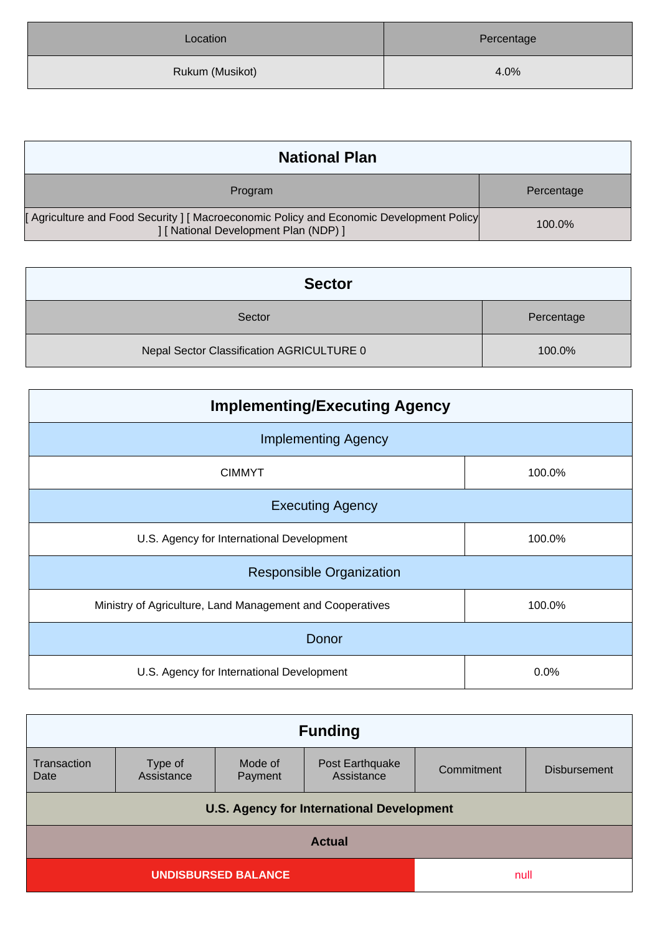| Location        | Percentage |
|-----------------|------------|
| Rukum (Musikot) | 4.0%       |

| <b>National Plan</b>                                                                                                            |            |
|---------------------------------------------------------------------------------------------------------------------------------|------------|
| Program                                                                                                                         | Percentage |
| [Agriculture and Food Security ] [Macroeconomic Policy and Economic Development Policy<br>] [ National Development Plan (NDP) ] | 100.0%     |

| <b>Sector</b>                             |            |  |
|-------------------------------------------|------------|--|
| Sector                                    | Percentage |  |
| Nepal Sector Classification AGRICULTURE 0 | 100.0%     |  |

| <b>Implementing/Executing Agency</b>                      |        |  |
|-----------------------------------------------------------|--------|--|
| <b>Implementing Agency</b>                                |        |  |
| <b>CIMMYT</b>                                             | 100.0% |  |
| <b>Executing Agency</b>                                   |        |  |
| U.S. Agency for International Development                 | 100.0% |  |
| <b>Responsible Organization</b>                           |        |  |
| Ministry of Agriculture, Land Management and Cooperatives | 100.0% |  |
| Donor                                                     |        |  |
| U.S. Agency for International Development                 | 0.0%   |  |

| <b>Funding</b>                                   |                       |                    |                               |            |                     |
|--------------------------------------------------|-----------------------|--------------------|-------------------------------|------------|---------------------|
| Transaction<br>Date                              | Type of<br>Assistance | Mode of<br>Payment | Post Earthquake<br>Assistance | Commitment | <b>Disbursement</b> |
| <b>U.S. Agency for International Development</b> |                       |                    |                               |            |                     |
| <b>Actual</b>                                    |                       |                    |                               |            |                     |
| <b>UNDISBURSED BALANCE</b><br>null               |                       |                    |                               |            |                     |
|                                                  |                       |                    |                               |            |                     |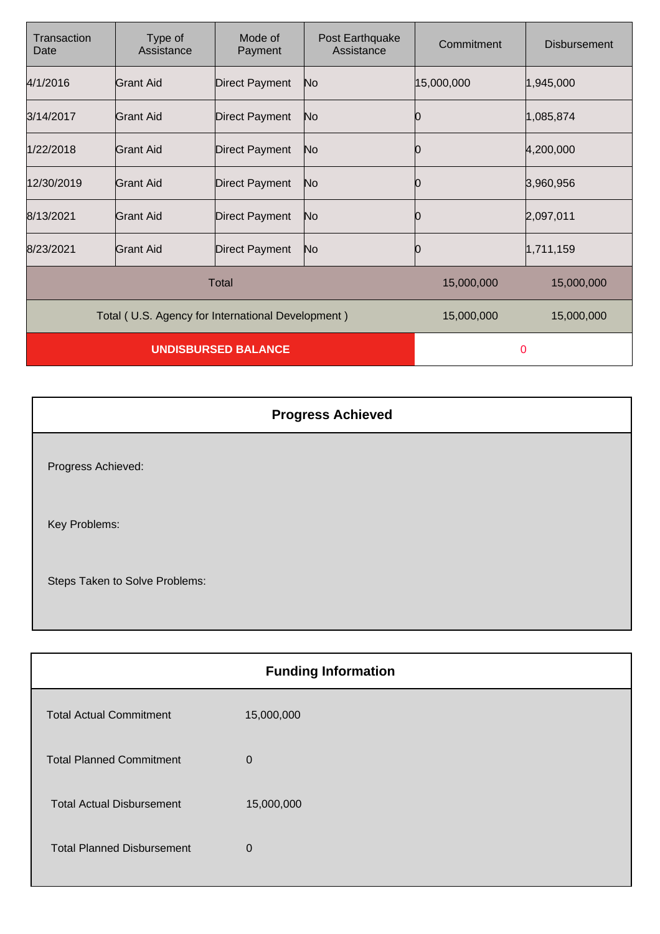| Transaction<br>Date                               | Type of<br>Assistance | Mode of<br>Payment    | Post Earthquake<br>Assistance | Commitment | <b>Disbursement</b> |
|---------------------------------------------------|-----------------------|-----------------------|-------------------------------|------------|---------------------|
| 4/1/2016                                          | Grant Aid             | <b>Direct Payment</b> | No                            | 15,000,000 | 1,945,000           |
| 3/14/2017                                         | Grant Aid             | <b>Direct Payment</b> | No                            | О          | 1,085,874           |
| 1/22/2018                                         | Grant Aid             | <b>Direct Payment</b> | No                            | 10         | 4,200,000           |
| 12/30/2019                                        | Grant Aid             | <b>Direct Payment</b> | No                            | 10         | 3,960,956           |
| 8/13/2021                                         | <b>Grant Aid</b>      | <b>Direct Payment</b> | No                            |            | 2,097,011           |
| 8/23/2021                                         | Grant Aid             | <b>Direct Payment</b> | No                            | 0          | 1,711,159           |
|                                                   |                       | <b>Total</b>          |                               | 15,000,000 | 15,000,000          |
| Total (U.S. Agency for International Development) |                       |                       |                               | 15,000,000 | 15,000,000          |
| <b>UNDISBURSED BALANCE</b>                        |                       |                       | 0                             |            |                     |

|                                | <b>Progress Achieved</b> |
|--------------------------------|--------------------------|
| Progress Achieved:             |                          |
| Key Problems:                  |                          |
| Steps Taken to Solve Problems: |                          |

|                                   | <b>Funding Information</b> |
|-----------------------------------|----------------------------|
| <b>Total Actual Commitment</b>    | 15,000,000                 |
| <b>Total Planned Commitment</b>   | $\mathbf 0$                |
| <b>Total Actual Disbursement</b>  | 15,000,000                 |
| <b>Total Planned Disbursement</b> | $\Omega$                   |
|                                   |                            |